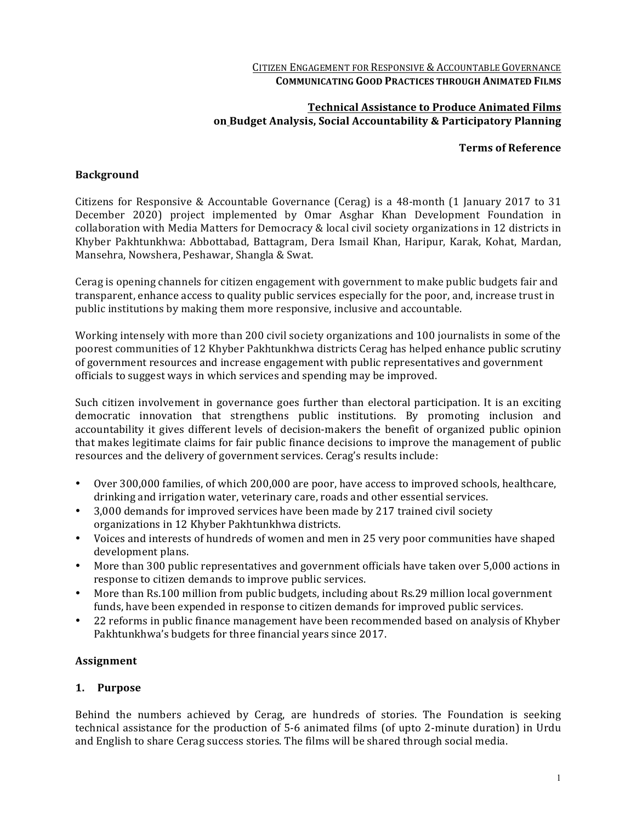#### CITIZEN ENGAGEMENT FOR RESPONSIVE & ACCOUNTABLE GOVERNANCE **COMMUNICATING GOOD PRACTICES THROUGH ANIMATED FILMS**

## **Technical Assistance to Produce Animated Films on Budget Analysis, Social Accountability & Participatory Planning**

#### **Terms of Reference**

## **Background**

Citizens for Responsive & Accountable Governance (Cerag) is a 48-month (1 January 2017 to 31 December 2020) project implemented by Omar Asghar Khan Development Foundation in collaboration with Media Matters for Democracy & local civil society organizations in 12 districts in Khyber Pakhtunkhwa: Abbottabad, Battagram, Dera Ismail Khan, Haripur, Karak, Kohat, Mardan, Mansehra, Nowshera, Peshawar, Shangla & Swat.

Cerag is opening channels for citizen engagement with government to make public budgets fair and transparent, enhance access to quality public services especially for the poor, and, increase trust in public institutions by making them more responsive, inclusive and accountable.

Working intensely with more than 200 civil society organizations and 100 journalists in some of the poorest communities of 12 Khyber Pakhtunkhwa districts Cerag has helped enhance public scrutiny of government resources and increase engagement with public representatives and government officials to suggest ways in which services and spending may be improved.

Such citizen involvement in governance goes further than electoral participation. It is an exciting democratic innovation that strengthens public institutions. By promoting inclusion and accountability it gives different levels of decision-makers the benefit of organized public opinion that makes legitimate claims for fair public finance decisions to improve the management of public resources and the delivery of government services. Cerag's results include:

- Over 300,000 families, of which 200,000 are poor, have access to improved schools, healthcare, drinking and irrigation water, veterinary care, roads and other essential services.
- 3,000 demands for improved services have been made by 217 trained civil society organizations in 12 Khyber Pakhtunkhwa districts.
- Voices and interests of hundreds of women and men in 25 very poor communities have shaped development plans.
- More than 300 public representatives and government officials have taken over 5,000 actions in response to citizen demands to improve public services.
- More than Rs.100 million from public budgets, including about Rs.29 million local government funds, have been expended in response to citizen demands for improved public services.
- 22 reforms in public finance management have been recommended based on analysis of Khyber Pakhtunkhwa's budgets for three financial years since 2017.

# **Assignment**

#### **1. Purpose**

Behind the numbers achieved by Cerag, are hundreds of stories. The Foundation is seeking technical assistance for the production of 5-6 animated films (of upto 2-minute duration) in Urdu and English to share Cerag success stories. The films will be shared through social media.